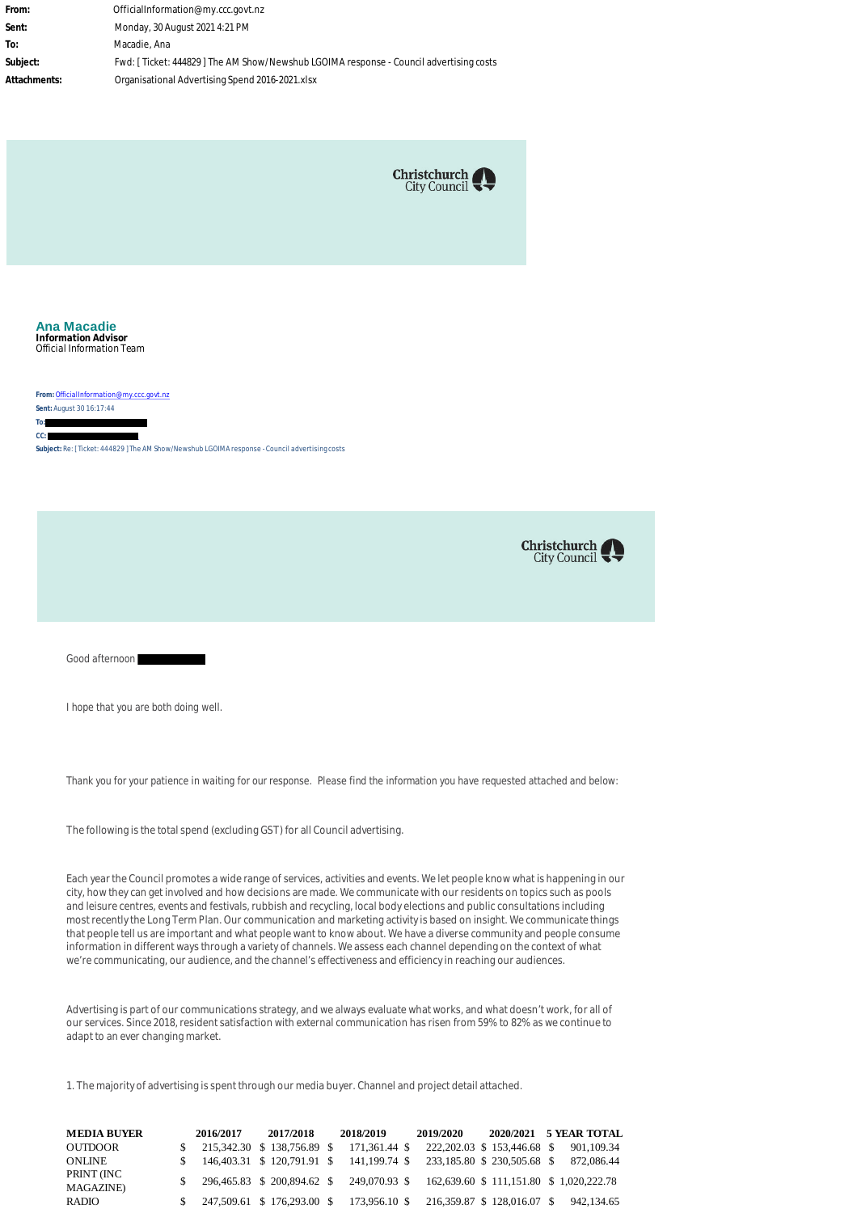**From:** OfficialInformation@my.ccc.govt.nz **Sent:** Monday, 30 August 2021 4:21 PM **To:** Macadie, Ana **Subject:** Fwd: [ Ticket: 444829 ] The AM Show/Newshub LGOIMA response - Council advertising costs **Attachments:** Organisational Advertising Spend 2016-2021.xlsx



**Ana Macadie Information Advisor** Official Information Team

**From:** [OfficialInformation@my.ccc.govt.nz](mailto:OfficialInformation@my.ccc.govt.nz)

**Sent:** August 30 16:17:44 **To:**

**CC:** 

**Subject:** Re: [ Ticket: 444829 ] The AM Show/Newshub LGOIMA response - Council advertising costs



Good afternoon

I hope that you are both doing well.

Thank you for your patience in waiting for our response. Please find the information you have requested attached and below:

The following is the total spend (excluding GST) for all Council advertising.

Each year the Council promotes a wide range of services, activities and events. We let people know what is happening in our city, how they can get involved and how decisions are made. We communicate with our residents on topics such as pools and leisure centres, events and festivals, rubbish and recycling, local body elections and public consultations including most recently the Long Term Plan. Our communication and marketing activity is based on insight. We communicate things that people tell us are important and what people want to know about. We have a diverse community and people consume information in different ways through a variety of channels. We assess each channel depending on the context of what we're communicating, our audience, and the channel's effectiveness and efficiency in reaching our audiences.

Advertising is part of our communications strategy, and we always evaluate what works, and what doesn't work, for all of our services. Since 2018, resident satisfaction with external communication has risen from 59% to 82% as we continue to adapt to an ever changing market.

1. The majority of advertising is spent through our media buyer. Channel and project detail attached.

| <b>MEDIA BUYER</b>              | 2016/2017                                     | 2017/2018 | 2018/2019     | 2019/2020                                              |  | 2020/2021 5 YEAR TOTAL |
|---------------------------------|-----------------------------------------------|-----------|---------------|--------------------------------------------------------|--|------------------------|
| <b>OUTDOOR</b>                  | 215.342.30 \$ 138.756.89 \$                   |           | 171.361.44 \$ | 222, 202.03 \$153, 446.68 \$                           |  | 901.109.34             |
| <b>ONLINE</b>                   | $$146,403.31 \text{ } $120,791.91 \text{ } $$ |           | 141.199.74 \$ | 233,185.80 \$ 230,505.68 \$                            |  | 872.086.44             |
| PRINT (INC<br><b>MAGAZINE</b> ) | 296.465.83 \$ 200.894.62 \$                   |           |               | 249.070.93 \$ 162.639.60 \$ 111.151.80 \$ 1.020.222.78 |  |                        |
| <b>RADIO</b>                    | $\frac{1}{2}$ 247,509.61 \$ 176,293.00 \$     |           |               | 173,956.10 \$ 216,359.87 \$ 128,016.07 \$              |  | 942.134.65             |